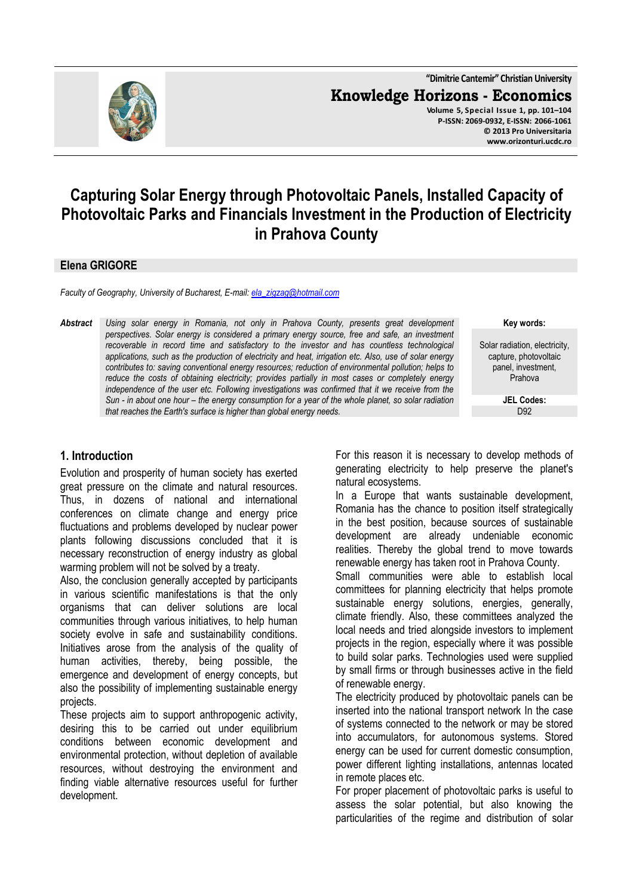

**"Dimitrie Cantemir" Christian University Knowledge Horizons - Economics Volume 5, Special Issue 1, pp. 101–104 P-ISSN: 2069-0932, E-ISSN: 2066-1061 © 2013 Pro Universitaria www.orizonturi.ucdc.ro**

# **Capturing Solar Energy through Photovoltaic Panels, Installed Capacity of Photovoltaic Parks and Financials Investment in the Production of Electricity in Prahova County**

#### **Elena GRIGORE**

*Faculty of Geography, University of Bucharest, E-mail: ela\_zigzag@hotmail.com*

*Abstract Using solar energy in Romania, not only in Prahova County, presents great development perspectives. Solar energy is considered a primary energy source, free and safe, an investment recoverable in record time and satisfactory to the investor and has countless technological applications, such as the production of electricity and heat, irrigation etc. Also, use of solar energy contributes to: saving conventional energy resources; reduction of environmental pollution; helps to reduce the costs of obtaining electricity; provides partially in most cases or completely energy independence of the user etc. Following investigations was confirmed that it we receive from the Sun - in about one hour – the energy consumption for a year of the whole planet, so solar radiation that reaches the Earth's surface is higher than global energy needs.*

**Key words:**

Solar radiation, electricity, capture, photovoltaic panel, investment, Prahova

> **JEL Codes:** D<sub>92</sub>

#### **1. Introduction**

Evolution and prosperity of human society has exerted great pressure on the climate and natural resources. Thus, in dozens of national and international conferences on climate change and energy price fluctuations and problems developed by nuclear power plants following discussions concluded that it is necessary reconstruction of energy industry as global warming problem will not be solved by a treaty.

Also, the conclusion generally accepted by participants in various scientific manifestations is that the only organisms that can deliver solutions are local communities through various initiatives, to help human society evolve in safe and sustainability conditions. Initiatives arose from the analysis of the quality of human activities, thereby, being possible, the emergence and development of energy concepts, but also the possibility of implementing sustainable energy projects.

These projects aim to support anthropogenic activity, desiring this to be carried out under equilibrium conditions between economic development and environmental protection, without depletion of available resources, without destroying the environment and finding viable alternative resources useful for further development.

For this reason it is necessary to develop methods of generating electricity to help preserve the planet's natural ecosystems.

In a Europe that wants sustainable development, Romania has the chance to position itself strategically in the best position, because sources of sustainable development are already undeniable economic realities. Thereby the global trend to move towards renewable energy has taken root in Prahova County.

Small communities were able to establish local committees for planning electricity that helps promote sustainable energy solutions, energies, generally, climate friendly. Also, these committees analyzed the local needs and tried alongside investors to implement projects in the region, especially where it was possible to build solar parks. Technologies used were supplied by small firms or through businesses active in the field of renewable energy.

The electricity produced by photovoltaic panels can be inserted into the national transport network In the case of systems connected to the network or may be stored into accumulators, for autonomous systems. Stored energy can be used for current domestic consumption, power different lighting installations, antennas located in remote places etc.

For proper placement of photovoltaic parks is useful to assess the solar potential, but also knowing the particularities of the regime and distribution of solar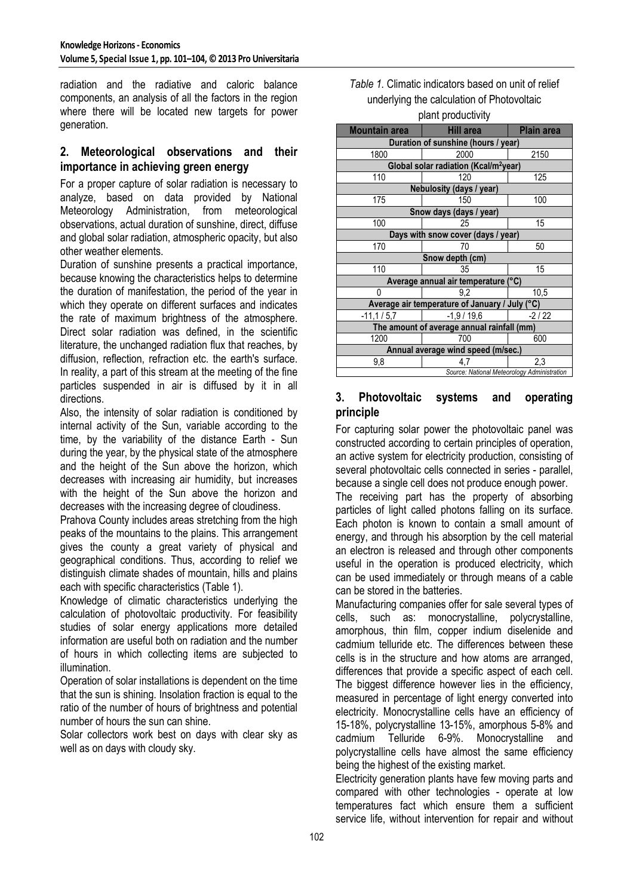radiation and the radiative and caloric balance components, an analysis of all the factors in the region where there will be located new targets for power generation.

#### **2. Meteorological observations and their importance in achieving green energy**

For a proper capture of solar radiation is necessary to analyze, based on data provided by National Meteorology Administration, from meteorological observations, actual duration of sunshine, direct, diffuse and global solar radiation, atmospheric opacity, but also other weather elements.

Duration of sunshine presents a practical importance, because knowing the characteristics helps to determine the duration of manifestation, the period of the year in which they operate on different surfaces and indicates the rate of maximum brightness of the atmosphere. Direct solar radiation was defined, in the scientific literature, the unchanged radiation flux that reaches, by diffusion, reflection, refraction etc. the earth's surface. In reality, a part of this stream at the meeting of the fine particles suspended in air is diffused by it in all directions.

Also, the intensity of solar radiation is conditioned by internal activity of the Sun, variable according to the time, by the variability of the distance Earth - Sun during the year, by the physical state of the atmosphere and the height of the Sun above the horizon, which decreases with increasing air humidity, but increases with the height of the Sun above the horizon and decreases with the increasing degree of cloudiness.

Prahova County includes areas stretching from the high peaks of the mountains to the plains. This arrangement gives the county a great variety of physical and geographical conditions. Thus, according to relief we distinguish climate shades of mountain, hills and plains each with specific characteristics (Table 1).

Knowledge of climatic characteristics underlying the calculation of photovoltaic productivity. For feasibility studies of solar energy applications more detailed information are useful both on radiation and the number of hours in which collecting items are subjected to illumination.

Operation of solar installations is dependent on the time that the sun is shining. Insolation fraction is equal to the ratio of the number of hours of brightness and potential number of hours the sun can shine.

Solar collectors work best on days with clear sky as well as on days with cloudy sky.

| Table 1. Climatic indicators based on unit of relief |  |  |  |
|------------------------------------------------------|--|--|--|
| underlying the calculation of Photovoltaic           |  |  |  |
|                                                      |  |  |  |

| piant productivity                                |                  |                   |  |
|---------------------------------------------------|------------------|-------------------|--|
| Mountain area                                     | <b>Hill area</b> | <b>Plain area</b> |  |
| Duration of sunshine (hours / year)               |                  |                   |  |
| 1800                                              | 2000             | 2150              |  |
| Global solar radiation (Kcal/m <sup>2</sup> year) |                  |                   |  |
| 110                                               | 120              | 125               |  |
| Nebulosity (days / year)                          |                  |                   |  |
| 175                                               | 150              | 100               |  |
| Snow days (days / year)                           |                  |                   |  |
| 100                                               | 25               | 15                |  |
| Days with snow cover (days / year)                |                  |                   |  |
| 170                                               | 70               | 50                |  |
| Snow depth (cm)                                   |                  |                   |  |
| 110                                               | 35               | 15                |  |
| Average annual air temperature (°C)               |                  |                   |  |
| ŋ                                                 | 9,2              | 10,5              |  |
| Average air temperature of January / July (°C)    |                  |                   |  |
| $-11,1/5,7$                                       | $-1,9/19,6$      | $-2/22$           |  |
| The amount of average annual rainfall (mm)        |                  |                   |  |
| 1200                                              | 700              | 600               |  |
| Annual average wind speed (m/sec.)                |                  |                   |  |
| 9,8                                               | 4.7              | 2,3               |  |
| Source: National Meteorology Administration       |                  |                   |  |

#### **3. Photovoltaic systems and operating principle**

For capturing solar power the photovoltaic panel was constructed according to certain principles of operation, an active system for electricity production, consisting of several photovoltaic cells connected in series - parallel, because a single cell does not produce enough power.

The receiving part has the property of absorbing particles of light called photons falling on its surface. Each photon is known to contain a small amount of energy, and through his absorption by the cell material an electron is released and through other components useful in the operation is produced electricity, which can be used immediately or through means of a cable can be stored in the batteries.

Manufacturing companies offer for sale several types of cells, such as: monocrystalline, polycrystalline, amorphous, thin film, copper indium diselenide and cadmium telluride etc. The differences between these cells is in the structure and how atoms are arranged, differences that provide a specific aspect of each cell. The biggest difference however lies in the efficiency, measured in percentage of light energy converted into electricity. Monocrystalline cells have an efficiency of 15-18%, polycrystalline 13-15%, amorphous 5-8% and cadmium Telluride 6-9%. Monocrystalline and polycrystalline cells have almost the same efficiency being the highest of the existing market.

Electricity generation plants have few moving parts and compared with other technologies - operate at low temperatures fact which ensure them a sufficient service life, without intervention for repair and without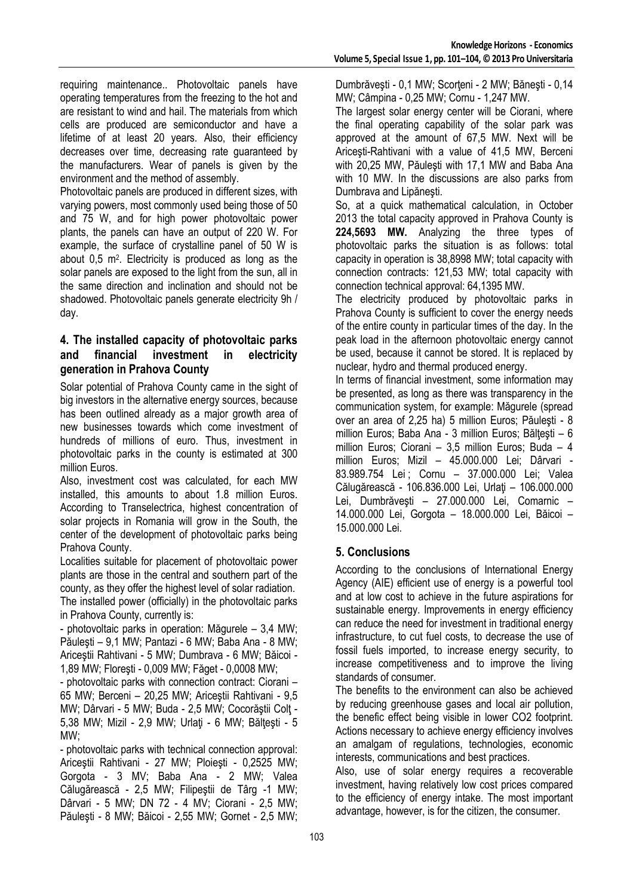requiring maintenance.. Photovoltaic panels have operating temperatures from the freezing to the hot and are resistant to wind and hail. The materials from which cells are produced are semiconductor and have a lifetime of at least 20 years. Also, their efficiency decreases over time, decreasing rate guaranteed by the manufacturers. Wear of panels is given by the environment and the method of assembly.

Photovoltaic panels are produced in different sizes, with varying powers, most commonly used being those of 50 and 75 W, and for high power photovoltaic power plants, the panels can have an output of 220 W. For example, the surface of crystalline panel of 50 W is about 0,5 m<sup>2</sup> . Electricity is produced as long as the solar panels are exposed to the light from the sun, all in the same direction and inclination and should not be shadowed. Photovoltaic panels generate electricity 9h / day.

### **4. The installed capacity of photovoltaic parks and financial investment in electricity generation in Prahova County**

Solar potential of Prahova County came in the sight of big investors in the alternative energy sources, because has been outlined already as a major growth area of new businesses towards which come investment of hundreds of millions of euro. Thus, investment in photovoltaic parks in the county is estimated at 300 million Euros.

Also, investment cost was calculated, for each MW installed, this amounts to about 1.8 million Euros. According to Transelectrica, highest concentration of solar projects in Romania will grow in the South, the center of the development of photovoltaic parks being Prahova County.

Localities suitable for placement of photovoltaic power plants are those in the central and southern part of the county, as they offer the highest level of solar radiation. The installed power (officially) in the photovoltaic parks

in Prahova County, currently is:

- photovoltaic parks in operation: Măgurele – 3,4 MW; Păuleşti – 9,1 MW; Pantazi - 6 MW; Baba Ana - 8 MW; Ariceştii Rahtivani - 5 MW; Dumbrava - 6 MW; Băicoi - 1,89 MW; Floreşti - 0,009 MW; Făget - 0,0008 MW;

- photovoltaic parks with connection contract: Ciorani – 65 MW; Berceni – 20,25 MW; Ariceştii Rahtivani - 9,5 MW; Dârvari - 5 MW; Buda - 2,5 MW; Cocorăştii Colţ - 5,38 MW; Mizil - 2,9 MW; Urlaţi - 6 MW; Bălţeşti - 5 MW;

- photovoltaic parks with technical connection approval: Ariceştii Rahtivani - 27 MW; Ploieşti - 0,2525 MW; Gorgota - 3 MV; Baba Ana - 2 MW; Valea Călugărească - 2,5 MW; Filipeştii de Târg -1 MW; Dârvari - 5 MW; DN 72 - 4 MV; Ciorani - 2,5 MW; Păuleşti - 8 MW; Băicoi - 2,55 MW; Gornet - 2,5 MW; Dumbrăvești - 0,1 MW; Scorteni - 2 MW; Bănești - 0,14 MW; Câmpina - 0,25 MW; Cornu - 1,247 MW.

The largest solar energy center will be Ciorani, where the final operating capability of the solar park was approved at the amount of 67,5 MW. Next will be Ariceşti-Rahtivani with a value of 41,5 MW, Berceni with 20,25 MW, Păuleşti with 17,1 MW and Baba Ana with 10 MW. In the discussions are also parks from Dumbrava and Lipăneşti.

So, at a quick mathematical calculation, in October 2013 the total capacity approved in Prahova County is **224,5693 MW.** Analyzing the three types of photovoltaic parks the situation is as follows: total capacity in operation is 38,8998 MW; total capacity with connection contracts: 121,53 MW; total capacity with connection technical approval: 64,1395 MW.

The electricity produced by photovoltaic parks in Prahova County is sufficient to cover the energy needs of the entire county in particular times of the day. In the peak load in the afternoon photovoltaic energy cannot be used, because it cannot be stored. It is replaced by nuclear, hydro and thermal produced energy.

In terms of financial investment, some information may be presented, as long as there was transparency in the communication system, for example: Măgurele (spread over an area of 2,25 ha) 5 million Euros; Păuleşti - 8 million Euros; Baba Ana - 3 million Euros; Băltești – 6 million Euros; Ciorani – 3,5 million Euros; Buda – 4 million Euros; Mizil – 45.000.000 Lei; Dârvari - 83.989.754 Lei ; Cornu – 37.000.000 Lei; Valea Călugărească - 106.836.000 Lei, Urlaţi – 106.000.000 Lei, Dumbrăveşti – 27.000.000 Lei, Comarnic – 14.000.000 Lei, Gorgota – 18.000.000 Lei, Băicoi – 15.000.000 Lei.

## **5. Conclusions**

According to the conclusions of International Energy Agency (AIE) efficient use of energy is a powerful tool and at low cost to achieve in the future aspirations for sustainable energy. Improvements in energy efficiency can reduce the need for investment in traditional energy infrastructure, to cut fuel costs, to decrease the use of fossil fuels imported, to increase energy security, to increase competitiveness and to improve the living standards of consumer.

The benefits to the environment can also be achieved by reducing greenhouse gases and local air pollution, the benefic effect being visible in lower CO2 footprint. Actions necessary to achieve energy efficiency involves an amalgam of regulations, technologies, economic interests, communications and best practices.

Also, use of solar energy requires a recoverable investment, having relatively low cost prices compared to the efficiency of energy intake. The most important advantage, however, is for the citizen, the consumer.